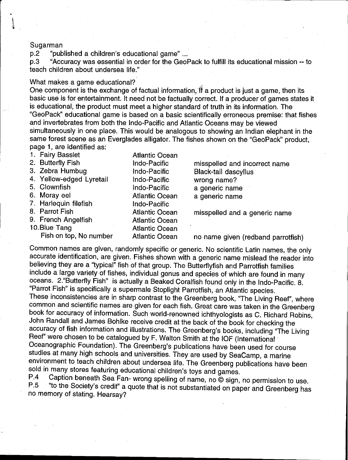## Sugarman

p.2 "published a children's educational game" ...

p.3 "Accuracy was essential in order for the GeoPack to fulfill its educational mission -- to teach children about undersea life."

## What makes a game educational?

One component is the exchange of factual information. If a product is just a game, then its basic use is for entertainment. It need not be factually correct. If a producer of games states it is educational, the product must meet a higher standard of truth in its information. The "GeoPack" educational game is based on a basic scientifically erroneous premise: that fishes and invertebrates from both the Indo-Pacific and Atlantic Oceans may be viewed simultaneously in one place. This would be analogous to showing an Indian elephant in the same forest scene as an Everglades alligator. The fishes shown on the "GeoPack" product, page 1, are identified as:

| 1. Fairy Basslet         | <b>Atlantic Ocean</b> |                                    |
|--------------------------|-----------------------|------------------------------------|
| 2. Butterfly Fish        | <b>Indo-Pacific</b>   | misspelled and incorrect name      |
| 3. Zebra Humbug          | Indo-Pacific          | <b>Black-tail dascyllus</b>        |
| 4. Yellow-edged Lyretail | Indo-Pacific          | wrong name?                        |
| 5. Clownfish             | Indo-Pacific          | a generic name                     |
| 6. Moray eel             | <b>Atlantic Ocean</b> | a generic name                     |
| 7. Harlequin filefish    | <b>Indo-Pacific</b>   |                                    |
| 8. Parrot Fish           | <b>Atlantic Ocean</b> | misspelled and a generic name      |
| 9. French Angelfish      | <b>Atlantic Ocean</b> |                                    |
| 10.Blue Tang             | <b>Atlantic Ocean</b> |                                    |
| Fish on top, No number   | <b>Atlantic Ocean</b> | no name given (redband parrotfish) |
|                          |                       |                                    |

Common names are given, randomly specific or generic. No scientific Latin names, the only accurate identification, are given. Fishes shown with a generic name mislead the reader into believing they are a "typical" fish of that group. The Butterflyfish and Parrotfish families include a large variety of fishes, individual genus and species of which are found in many oceans. 2."Butterfly Fish" is actually a Beaked Coralfish found only in the Indo-Pacific. 8. "Parrot Fish" is specifically a supermale Stoplight Parrotfish, an Atlantic species. These inconsistencies are in sharp contrast to the Greenberg book, "The Living Reef", where common and scientific names are given for each fish. Great care was taken in the Greenberg book for accuracy of information. Such world-renowned ichthyologists as C. Richard Robins, John Randall and James Bohlke receive credit at the back of the book for checking the accuracy of fish information and illustrations. The Greenberg's books, including "The Living Reef" were chosen to be catalogued by F. Walton Smith at the IOF (International Oceanographic Foundation). The Greenberg's publications have been used for course studies at many high schools and universities. They are used by SeaCamp, a marine environment to teach children about undersea life. The Greenberg publications have been sold in many stores featuring educational children's toys and games.<br>P.4 Caption beneath Sea Fan-wrong spelling of name as @ sign

P.4 Caption beneath Sea Fan- wrong spelling of name, no © sign, no permission to use.<br>P.5 "to the Society's credit" a quote that is not substantiated an annouau to do "to the Society's credit" a quote that is not substantiated on paper and Greenberg has no memory of stating. Hearsay?